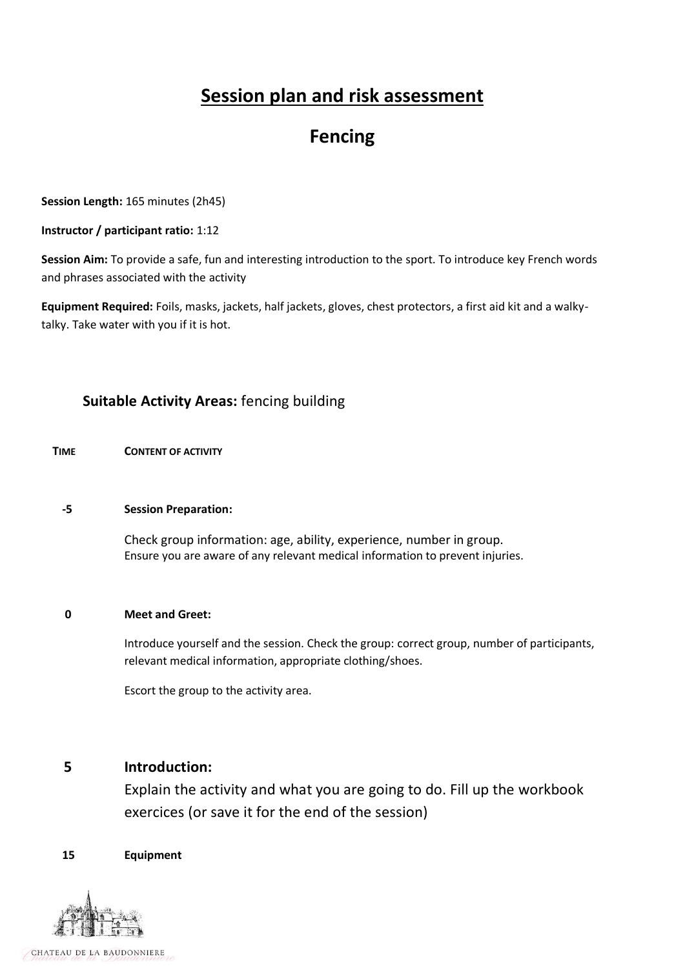# **Session plan and risk assessment**

## **Fencing**

**Session Length:** 165 minutes (2h45)

#### **Instructor / participant ratio:** 1:12

**Session Aim:** To provide a safe, fun and interesting introduction to the sport. To introduce key French words and phrases associated with the activity

**Equipment Required:** Foils, masks, jackets, half jackets, gloves, chest protectors, a first aid kit and a walkytalky. Take water with you if it is hot.

## **Suitable Activity Areas:** fencing building

 **TIME CONTENT OF ACTIVITY**

#### **-5 Session Preparation:**

Check group information: age, ability, experience, number in group. Ensure you are aware of any relevant medical information to prevent injuries.

#### **0 Meet and Greet:**

Introduce yourself and the session. Check the group: correct group, number of participants, relevant medical information, appropriate clothing/shoes.

Escort the group to the activity area.

### **5 Introduction:**

Explain the activity and what you are going to do. Fill up the workbook exercices (or save it for the end of the session)

#### **15 Equipment**

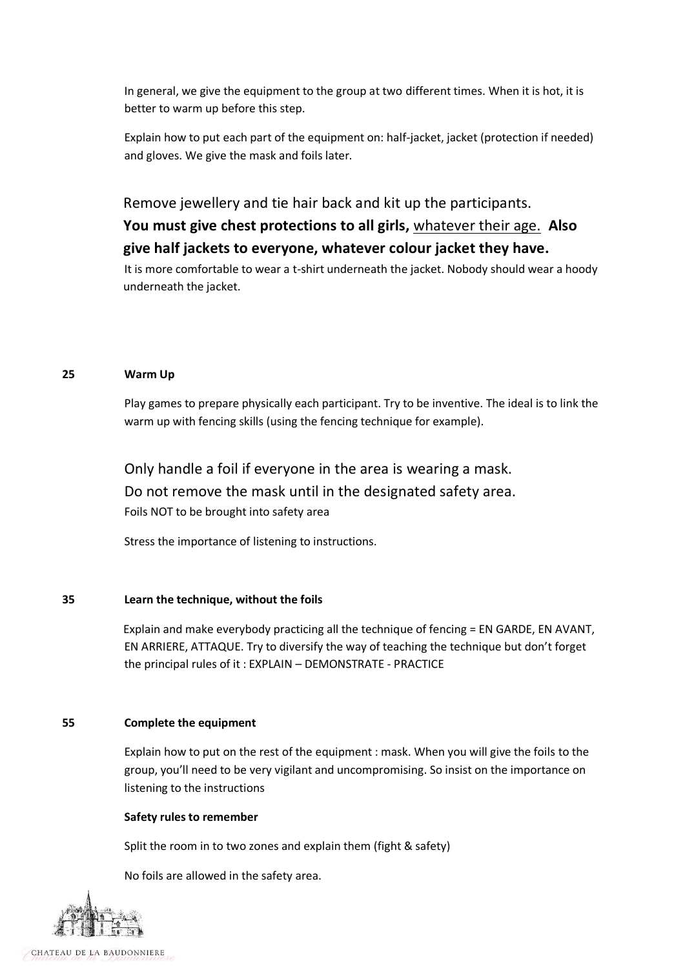In general, we give the equipment to the group at two different times. When it is hot, it is better to warm up before this step.

Explain how to put each part of the equipment on: half-jacket, jacket (protection if needed) and gloves. We give the mask and foils later.

Remove jewellery and tie hair back and kit up the participants.

## **You must give chest protections to all girls,** whatever their age. **Also give half jackets to everyone, whatever colour jacket they have.**

It is more comfortable to wear a t-shirt underneath the jacket. Nobody should wear a hoody underneath the jacket.

#### **25 Warm Up**

Play games to prepare physically each participant. Try to be inventive. The ideal is to link the warm up with fencing skills (using the fencing technique for example).

Only handle a foil if everyone in the area is wearing a mask. Do not remove the mask until in the designated safety area. Foils NOT to be brought into safety area

Stress the importance of listening to instructions.

#### **35 Learn the technique, without the foils**

Explain and make everybody practicing all the technique of fencing = EN GARDE, EN AVANT, EN ARRIERE, ATTAQUE. Try to diversify the way of teaching the technique but don't forget the principal rules of it : EXPLAIN – DEMONSTRATE - PRACTICE

### **55 Complete the equipment**

Explain how to put on the rest of the equipment : mask. When you will give the foils to the group, you'll need to be very vigilant and uncompromising. So insist on the importance on listening to the instructions

#### **Safety rules to remember**

Split the room in to two zones and explain them (fight & safety)

No foils are allowed in the safety area.



CHATEAU DE LA BAUDONNIERE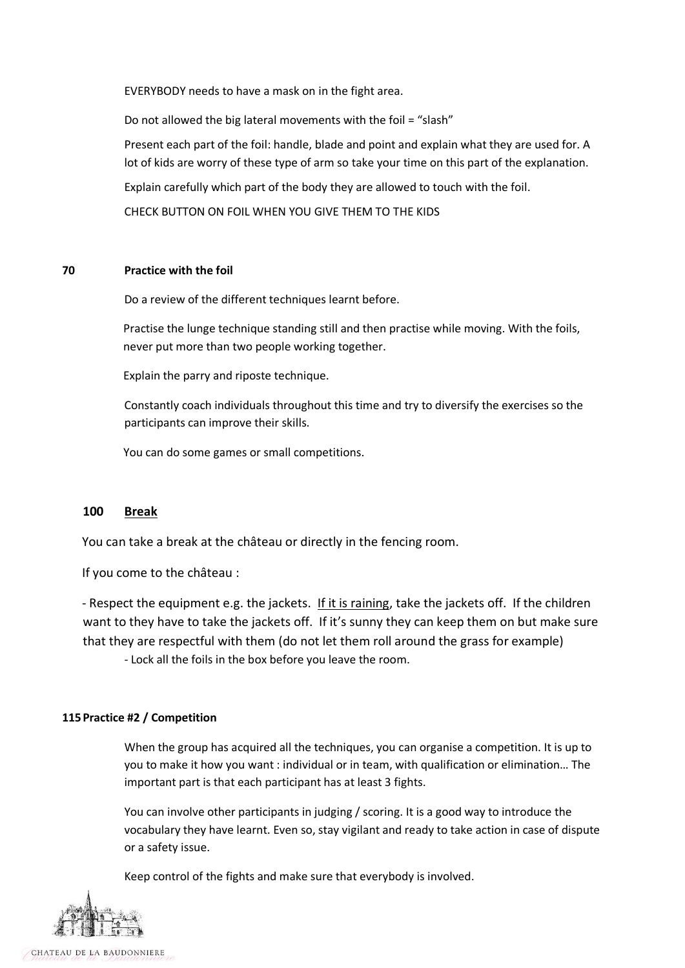EVERYBODY needs to have a mask on in the fight area.

Do not allowed the big lateral movements with the foil = "slash"

Present each part of the foil: handle, blade and point and explain what they are used for. A lot of kids are worry of these type of arm so take your time on this part of the explanation.

Explain carefully which part of the body they are allowed to touch with the foil.

CHECK BUTTON ON FOIL WHEN YOU GIVE THEM TO THE KIDS

#### **70 Practice with the foil**

Do a review of the different techniques learnt before.

Practise the lunge technique standing still and then practise while moving. With the foils, never put more than two people working together.

Explain the parry and riposte technique.

Constantly coach individuals throughout this time and try to diversify the exercises so the participants can improve their skills.

You can do some games or small competitions.

#### **100 Break**

You can take a break at the château or directly in the fencing room.

If you come to the château :

- Respect the equipment e.g. the jackets. If it is raining, take the jackets off. If the children want to they have to take the jackets off. If it's sunny they can keep them on but make sure that they are respectful with them (do not let them roll around the grass for example)

- Lock all the foils in the box before you leave the room.

#### **115Practice #2 / Competition**

When the group has acquired all the techniques, you can organise a competition. It is up to you to make it how you want : individual or in team, with qualification or elimination… The important part is that each participant has at least 3 fights.

You can involve other participants in judging / scoring. It is a good way to introduce the vocabulary they have learnt. Even so, stay vigilant and ready to take action in case of dispute or a safety issue.

Keep control of the fights and make sure that everybody is involved.



CHATEAU DE LA BAUDONNIERE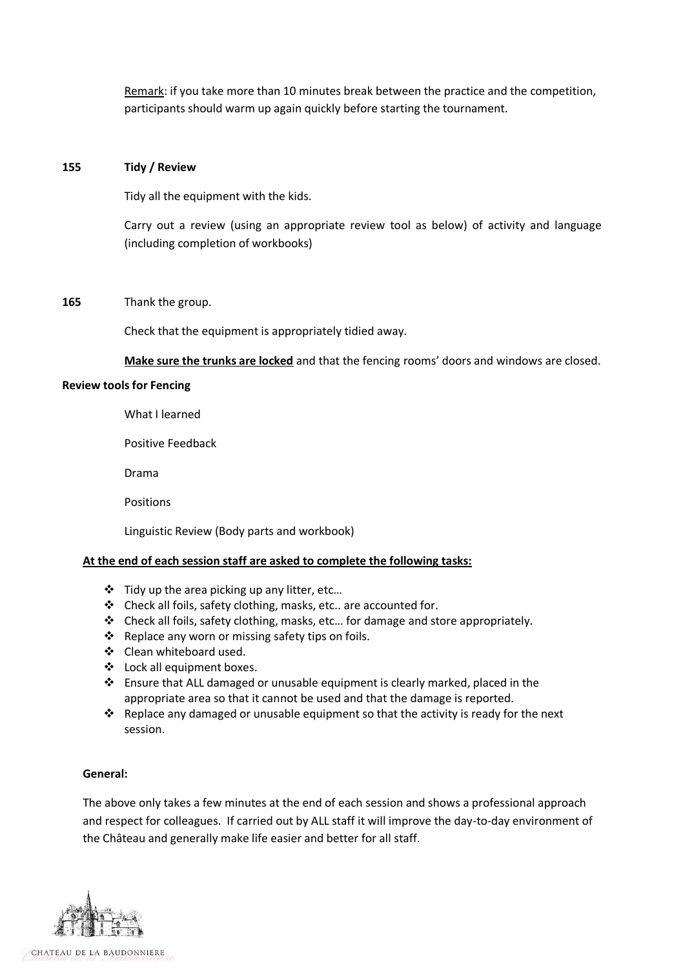Remark: if you take more than 10 minutes break between the practice and the competition, participants should warm up again quickly before starting the tournament.

#### **155 Tidy / Review**

Tidy all the equipment with the kids.

Carry out a review (using an appropriate review tool as below) of activity and language (including completion of workbooks)

#### **165** Thank the group.

Check that the equipment is appropriately tidied away.

**Make sure the trunks are locked** and that the fencing rooms' doors and windows are closed.

#### **Review tools for Fencing**

What I learned

Positive Feedback

Drama

Positions

Linguistic Review (Body parts and workbook)

#### **At the end of each session staff are asked to complete the following tasks:**

- $\cdot \cdot$  Tidy up the area picking up any litter, etc...
- Check all foils, safety clothing, masks, etc.. are accounted for.
- Check all foils, safety clothing, masks, etc… for damage and store appropriately.
- ❖ Replace any worn or missing safety tips on foils.
- ❖ Clean whiteboard used.
- ❖ Lock all equipment boxes.
- $\cdot \cdot$  Ensure that ALL damaged or unusable equipment is clearly marked, placed in the appropriate area so that it cannot be used and that the damage is reported.
- Replace any damaged or unusable equipment so that the activity is ready for the next session.

#### **General:**

The above only takes a few minutes at the end of each session and shows a professional approach and respect for colleagues. If carried out by ALL staff it will improve the day-to-day environment of the Château and generally make life easier and better for all staff.

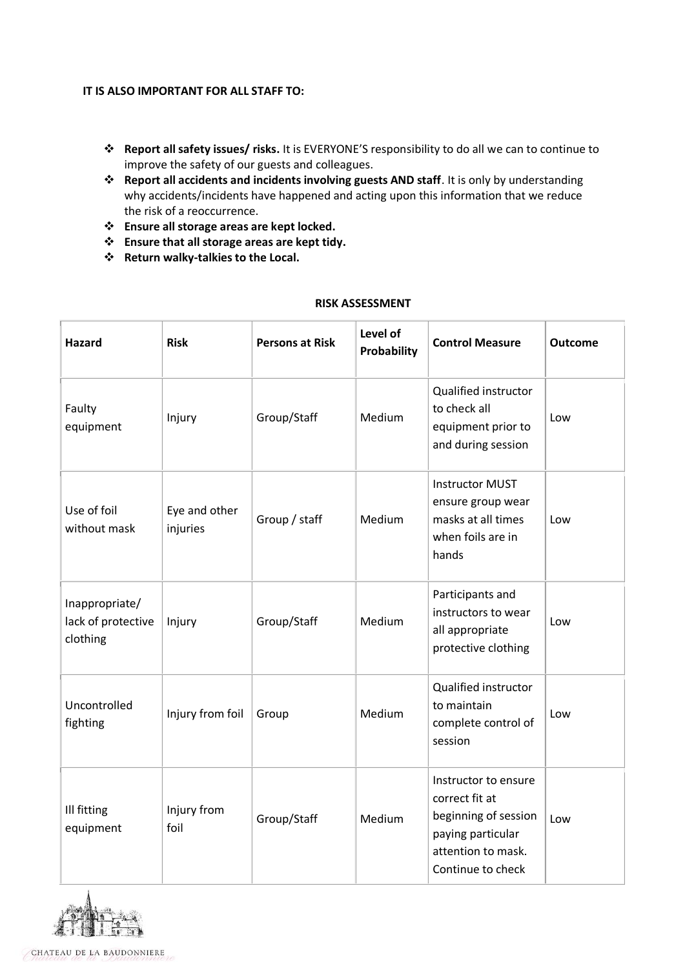#### **IT IS ALSO IMPORTANT FOR ALL STAFF TO:**

- **Report all safety issues/ risks.** It is EVERYONE'S responsibility to do all we can to continue to improve the safety of our guests and colleagues.
- **Report all accidents and incidents involving guests AND staff**. It is only by understanding why accidents/incidents have happened and acting upon this information that we reduce the risk of a reoccurrence.
- **Ensure all storage areas are kept locked.**
- **Ensure that all storage areas are kept tidy.**
- **Return walky-talkies to the Local.**

| Hazard                                           | <b>Risk</b>               | <b>Persons at Risk</b> | Level of<br><b>Probability</b> | <b>Control Measure</b>                                                                                                         | <b>Outcome</b> |
|--------------------------------------------------|---------------------------|------------------------|--------------------------------|--------------------------------------------------------------------------------------------------------------------------------|----------------|
| Faulty<br>equipment                              | Injury                    | Group/Staff            | Medium                         | Qualified instructor<br>to check all<br>equipment prior to<br>and during session                                               | Low            |
| Use of foil<br>without mask                      | Eye and other<br>injuries | Group / staff          | Medium                         | <b>Instructor MUST</b><br>ensure group wear<br>masks at all times<br>when foils are in<br>hands                                | Low            |
| Inappropriate/<br>lack of protective<br>clothing | Injury                    | Group/Staff            | Medium                         | Participants and<br>instructors to wear<br>all appropriate<br>protective clothing                                              | Low            |
| Uncontrolled<br>fighting                         | Injury from foil          | Group                  | Medium                         | Qualified instructor<br>to maintain<br>complete control of<br>session                                                          | Low            |
| Ill fitting<br>equipment                         | Injury from<br>foil       | Group/Staff            | Medium                         | Instructor to ensure<br>correct fit at<br>beginning of session<br>paying particular<br>attention to mask.<br>Continue to check | Low            |

#### **RISK ASSESSMENT**